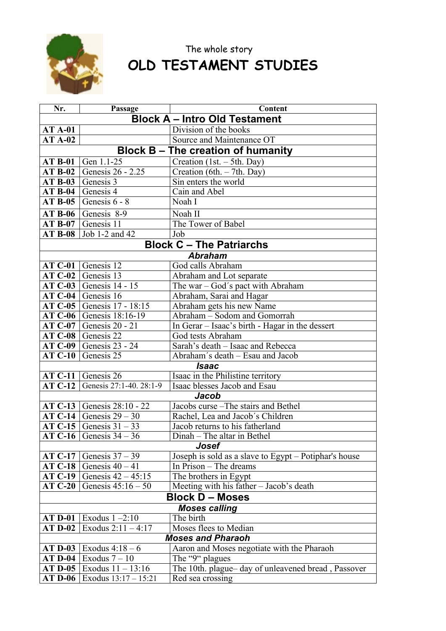

## The whole story **OLD TESTAMENT STUDIES**

| Nr.                                  | Passage                                | Content                                                                         |  |  |
|--------------------------------------|----------------------------------------|---------------------------------------------------------------------------------|--|--|
| <b>Block A - Intro Old Testament</b> |                                        |                                                                                 |  |  |
| <b>AT A-01</b>                       |                                        | Division of the books                                                           |  |  |
| $ATA-02$                             |                                        | Source and Maintenance OT                                                       |  |  |
|                                      |                                        | <b>Block B – The creation of humanity</b>                                       |  |  |
| <b>AT B-01</b>                       | Gen 1.1-25                             | Creation $(1st. - 5th. Day)$                                                    |  |  |
| <b>AT B-02</b>                       | Genesis 26 - 2.25                      | Creation (6th. $-$ 7th. Day)                                                    |  |  |
| $AT B-03$                            | Genesis 3                              | Sin enters the world                                                            |  |  |
| <b>AT B-04</b>                       | Genesis 4                              | Cain and Abel                                                                   |  |  |
| <b>AT B-05</b>                       | Genesis 6 - 8                          | Noah I                                                                          |  |  |
| <b>AT B-06</b>                       | Genesis 8-9                            | Noah II                                                                         |  |  |
| <b>AT B-07</b>                       | Genesis 11                             | The Tower of Babel                                                              |  |  |
| <b>AT B-08</b>                       | Job 1-2 and 42                         | Job                                                                             |  |  |
|                                      |                                        | <b>Block C - The Patriarchs</b>                                                 |  |  |
|                                      |                                        | <b>Abraham</b>                                                                  |  |  |
| <b>AT C-01</b>                       | Genesis 12                             | God calls Abraham                                                               |  |  |
| $AT C-02$                            | Genesis 13                             | Abraham and Lot separate                                                        |  |  |
| $AT C-03$                            | Genesis 14 - 15                        | The war - God's pact with Abraham                                               |  |  |
| AT C-04                              | Genesis 16                             | Abraham, Sarai and Hagar                                                        |  |  |
| AT C-05 $ $                          | Genesis 17 - 18:15                     | Abraham gets his new Name                                                       |  |  |
| AT C-06 $ $                          | Genesis 18:16-19                       | Abraham - Sodom and Gomorrah                                                    |  |  |
| $AT C-07$                            | Genesis 20 - 21                        | In Gerar – Isaac's birth - Hagar in the dessert                                 |  |  |
| AT C-08 $ $                          | Genesis 22                             | God tests Abraham                                                               |  |  |
| AT C-09                              | Genesis 23 - 24                        | Sarah's death - Isaac and Rebecca                                               |  |  |
| <b>AT C-10</b>                       | Genesis 25                             | Abraham's death - Esau and Jacob                                                |  |  |
|                                      |                                        | <b>Isaac</b>                                                                    |  |  |
|                                      | $AT C-11$ Genesis 26                   | Isaac in the Philistine territory                                               |  |  |
| $AT C-12$                            | Genesis 27:1-40. 28:1-9                | Isaac blesses Jacob and Esau                                                    |  |  |
|                                      |                                        | <b>Jacob</b>                                                                    |  |  |
| AT C-13 $ $                          | Genesis 28:10 - 22                     | Jacobs curse - The stairs and Bethel                                            |  |  |
| $ATC-14$                             | Genesis $29 - 30$                      | Rachel, Lea and Jacob's Children                                                |  |  |
|                                      | AT C-15 Genesis $31 - 33$              | Jacob returns to his fatherland                                                 |  |  |
| AT C-16                              | Genesis $34 - 36$                      | Dinah – The altar in Bethel                                                     |  |  |
| Josef                                |                                        |                                                                                 |  |  |
| <b>AT C-17</b>                       | Genesis $37 - 39$<br>Genesis $40 - 41$ | Joseph is sold as a slave to Egypt - Potiphar's house<br>In Prison – The dreams |  |  |
| <b>AT C-18</b><br><b>AT C-19</b>     | Genesis $42 - 45:15$                   |                                                                                 |  |  |
| <b>AT C-20</b>                       | Genesis $45:16 - 50$                   | The brothers in Egypt                                                           |  |  |
|                                      |                                        | Meeting with his father - Jacob's death                                         |  |  |
| <b>Block D - Moses</b>               |                                        |                                                                                 |  |  |
|                                      | Exodus $1 - 2:10$                      | <b>Moses calling</b><br>The birth                                               |  |  |
| <b>AT D-01</b>                       | Exodus $2:11 - 4:17$                   | Moses flees to Median                                                           |  |  |
| $ATD-02$<br><b>Moses and Pharaoh</b> |                                        |                                                                                 |  |  |
| $AT$ D-03                            | Exodus $4:18-6$                        | Aaron and Moses negotiate with the Pharaoh                                      |  |  |
| <b>AT D-04</b>                       | Exodus $7-10$                          | The "9" plagues                                                                 |  |  |
| $AT$ D-05                            | Exodus 11 - 13:16                      | The 10th. plague-day of unleavened bread, Passover                              |  |  |
| $AT$ D-06                            | Exodus $13:17 - 15:21$                 | Red sea crossing                                                                |  |  |
|                                      |                                        |                                                                                 |  |  |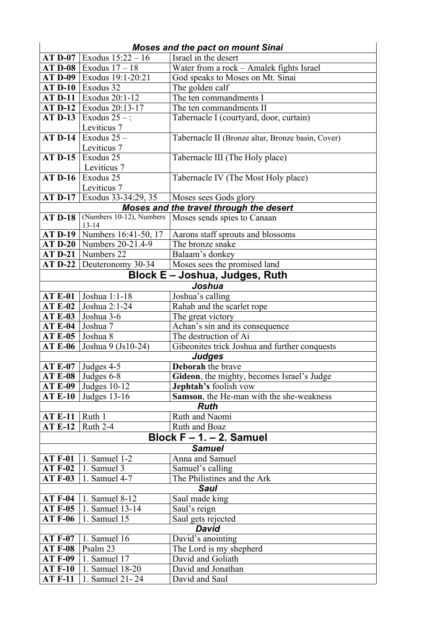|                                  |                                       | <b>Moses and the pact on mount Sinai</b>          |  |  |
|----------------------------------|---------------------------------------|---------------------------------------------------|--|--|
|                                  | <b>AT D-07</b> Exodus $15:22 - 16$    | Israel in the desert                              |  |  |
|                                  | <b>AT D-08</b>   Exodus $17 - 18$     | Water from a rock - Amalek fights Israel          |  |  |
|                                  | AT D-09   Exodus 19:1-20:21           | God speaks to Moses on Mt. Sinai                  |  |  |
|                                  | $AT$ D-10   Exodus 32                 | The golden calf                                   |  |  |
| <b>AT D-11</b>                   | Exodus 20:1-12                        | The ten commandments I                            |  |  |
|                                  | AT D-12   Exodus 20:13-17             | The ten commandments II                           |  |  |
| <b>AT D-13</b>                   | Exodus $25 -$ :                       | Tabernacle I (courtyard, door, curtain)           |  |  |
|                                  | Leviticus 7                           |                                                   |  |  |
| $AT$ D-14                        | Exodus $25-$                          | Tabernacle II (Bronze altar, Bronze basin, Cover) |  |  |
|                                  | Leviticus 7                           |                                                   |  |  |
| <b>AT D-15</b>                   | Exodus 25                             | Tabernacle III (The Holy place)                   |  |  |
|                                  | Leviticus 7                           |                                                   |  |  |
|                                  | $AT$ D-16 Exodus 25                   | Tabernacle IV (The Most Holy place)               |  |  |
|                                  | Leviticus 7                           |                                                   |  |  |
| <b>AT D-17</b>                   | Exodus 33-34:29, 35                   | Moses sees Gods glory                             |  |  |
|                                  |                                       | Moses and the travel through the desert           |  |  |
| <b>AT D-18</b>                   | (Numbers 10-12), Numbers<br>$13 - 14$ | Moses sends spies to Canaan                       |  |  |
|                                  | <b>AT D-19</b>   Numbers 16:41-50, 17 | Aarons staff sprouts and blossoms                 |  |  |
|                                  | <b>AT D-20</b>   Numbers 20-21.4-9    | The bronze snake                                  |  |  |
| $AT D-21$                        | Numbers $22$                          | Balaam's donkey                                   |  |  |
|                                  | $AT D-22$ Deuteronomy 30-34           | Moses sees the promised land                      |  |  |
|                                  |                                       | Block E – Joshua, Judges, Ruth                    |  |  |
|                                  |                                       | Joshua                                            |  |  |
| <b>AT E-01</b>                   | Joshua 1:1-18                         | Joshua's calling                                  |  |  |
| <b>AT E-02</b>                   | Joshua 2:1-24                         | Rahab and the scarlet rope                        |  |  |
| <b>AT E-03</b>                   | Joshua 3-6                            | The great victory                                 |  |  |
| <b>AT E-04</b>                   | Joshua 7                              | Achan's sin and its consequence                   |  |  |
| <b>AT E-05</b>                   | Joshua 8                              | The destruction of Ai                             |  |  |
| <b>AT E-06</b>                   | Joshua 9 (Js10-24)                    | Gibeonites trick Joshua and further conquests     |  |  |
|                                  |                                       | <b>Judges</b>                                     |  |  |
|                                  | AT E-07 Judges 4-5                    | Deborah the brave                                 |  |  |
|                                  | AT E-08 Judges $6-8$                  | Gideon, the mighty, becomes Israel's Judge        |  |  |
| <b>AT E-09</b>                   | Judges $10-12$                        | <b>Jephtah's</b> foolish vow                      |  |  |
| <b>AT E-10</b>                   | Judges 13-16                          | Samson, the He-man with the she-weakness          |  |  |
|                                  |                                       | <b>Ruth</b>                                       |  |  |
| <b>AT E-11</b>                   | Ruth 1                                | Ruth and Naomi                                    |  |  |
| $ATE-12$                         | Ruth 2-4                              | Ruth and Boaz                                     |  |  |
| Block $F - 1 - 2$ . Samuel       |                                       |                                                   |  |  |
|                                  |                                       | <b>Samuel</b>                                     |  |  |
| <b>AT F-01</b>                   | 1. Samuel 1-2                         | Anna and Samuel                                   |  |  |
| <b>AT F-02</b>                   | 1. Samuel 3                           | Samuel's calling                                  |  |  |
| <b>AT F-03</b>                   | 1. Samuel 4-7                         | The Philistines and the Ark                       |  |  |
| <b>AT F-04</b>                   | <b>Saul</b>                           |                                                   |  |  |
|                                  | 1. Samuel 8-12                        | Saul made king                                    |  |  |
| <b>AT F-05</b><br><b>AT F-06</b> | 1. Samuel 13-14<br>1. Samuel 15       | Saul's reign<br>Saul gets rejected                |  |  |
|                                  |                                       | <b>David</b>                                      |  |  |
| <b>AT F-07</b>                   | 1. Samuel 16                          | David's anointing                                 |  |  |
| <b>AT F-08</b>                   | Psalm 23                              | The Lord is my shepherd                           |  |  |
| <b>AT F-09</b>                   | 1. Samuel 17                          | David and Goliath                                 |  |  |
| <b>AT F-10</b>                   | 1. Samuel 18-20                       | David and Jonathan                                |  |  |
| <b>AT F-11</b>                   | 1. Samuel 21 - 24                     | David and Saul                                    |  |  |
|                                  |                                       |                                                   |  |  |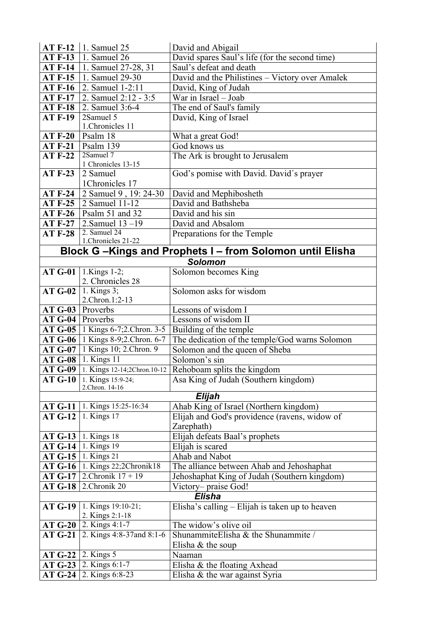| <b>AT F-12</b>     | 1. Samuel 25                               | David and Abigail                                        |
|--------------------|--------------------------------------------|----------------------------------------------------------|
| <b>AT F-13</b>     | 1. Samuel 26                               | David spares Saul's life (for the second time)           |
| <b>AT F-14</b>     | 1. Samuel 27-28, 31                        | Saul's defeat and death                                  |
| <b>AT F-15</b>     | 1. Samuel 29-30                            | David and the Philistines - Victory over Amalek          |
| <b>AT F-16</b>     | 2. Samuel 1-2:11                           | David, King of Judah                                     |
| <b>AT F-17</b>     | 2. Samuel 2:12 - 3:5                       | War in Israel - Joab                                     |
| <b>AT F-18</b>     | 2. Samuel 3:6-4                            | The end of Saul's family                                 |
| <b>AT F-19</b>     | 2Samuel 5                                  | David, King of Israel                                    |
|                    | 1.Chronicles 11                            |                                                          |
| <b>AT F-20</b>     | Psalm 18                                   | What a great God!                                        |
| <b>AT F-21</b>     | Psalm 139<br>$2S$ amuel 7                  | God knows us                                             |
| <b>AT F-22</b>     | 1 Chronicles 13-15                         | The Ark is brought to Jerusalem                          |
| <b>AT F-23</b>     | 2 Samuel                                   | God's pomise with David. David's prayer                  |
|                    | 1Chronicles 17                             |                                                          |
| <b>AT F-24</b>     | 2 Samuel 9, 19: 24-30                      | David and Mephibosheth                                   |
| <b>AT F-25</b>     | 2 Samuel 11-12                             | David and Bathsheba                                      |
| <b>AT F-26</b>     | Psalm 51 and 32                            | David and his sin                                        |
| <b>AT F-27</b>     | 2. Samuel $13 - 19$                        | David and Absalom                                        |
| <b>AT F-28</b>     | 2. Samuel 24                               | Preparations for the Temple                              |
|                    | 1.Chronicles 21-22                         |                                                          |
|                    |                                            | Block G-Kings and Prophets I - from Solomon until Elisha |
|                    |                                            | <b>Solomon</b>                                           |
|                    | <b>AT G-01</b>   1. Kings 1-2;             | Solomon becomes King                                     |
|                    | 2. Chronicles 28                           |                                                          |
| <b>AT G-02</b>     | 1. Kings 3;<br>2.Chron.1:2-13              | Solomon asks for wisdom                                  |
| $AT G-03$ Proverbs |                                            | Lessons of wisdom I                                      |
| $AT G-04$ Proverbs |                                            | Lessons of wisdom II                                     |
|                    | <b>AT G-05</b>   1 Kings 6-7;2. Chron. 3-5 | Building of the temple                                   |
|                    | $AT G-06$   1 Kings 8-9;2. Chron. 6-7      | The dedication of the temple/God warns Solomon           |
|                    | AT G-07   1 Kings 10; 2. Chron. 9          | Solomon and the queen of Sheba                           |
|                    | $AT G-08$   1. Kings 11                    | Solomon's sin                                            |
|                    | AT G-09   1. Kings 12-14;2Chron.10-12      | Rehoboam splits the kingdom                              |
|                    | <b>AT G-10</b> 1. Kings 15:9-24;           | Asa King of Judah (Southern kingdom)                     |
|                    | 2.Chron. 14-16                             |                                                          |
|                    |                                            | Elijah                                                   |
| <b>AT G-11</b>     | 1. Kings 15:25-16:34                       | Ahab King of Israel (Northern kingdom)                   |
| <b>AT G-12</b>     | 1. Kings 17                                | Elijah and God's providence (ravens, widow of            |
| <b>AT G-13</b>     | 1. Kings 18                                | Zarephath)                                               |
| <b>AT G-14</b>     | 1. Kings 19                                | Elijah defeats Baal's prophets<br>Elijah is scared       |
| <b>AT G-15</b>     | 1. Kings 21                                | Ahab and Nabot                                           |
| <b>AT G-16</b>     | 1. Kings 22;2Chronik18                     | The alliance between Ahab and Jehoshaphat                |
| <b>AT G-17</b>     | 2.Chronik $17 + 19$                        | Jehoshaphat King of Judah (Southern kingdom)             |
| <b>AT G-18</b>     | 2.Chronik 20                               | Victory- praise God!                                     |
|                    |                                            | <b>Elisha</b>                                            |
| <b>AT G-19</b>     | 1. Kings 19:10-21;                         | Elisha's calling $-$ Elijah is taken up to heaven        |
|                    | 2. Kings 2:1-18                            |                                                          |
| $AT G-20$          | 2. Kings 4:1-7                             | The widow's olive oil                                    |
| <b>AT G-21</b>     | 2. Kings 4:8-37 and 8:1-6                  | ShunammiteElisha & the Shunammite /                      |
|                    |                                            | Elisha & the soup                                        |
| $AT G-22$          | 2. Kings 5                                 | Naaman                                                   |
| $ATG-23$           | 2. Kings 6:1-7                             | Elisha & the floating Axhead                             |
| $ATG-24$           | 2. Kings 6:8-23                            | Elisha & the war against Syria                           |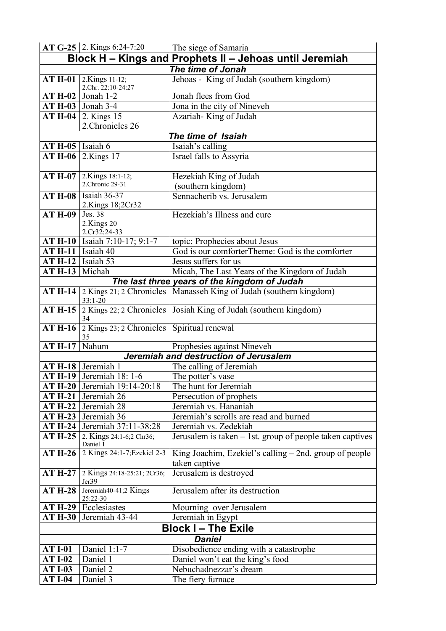|                          | AT G-25 2. Kings 6:24-7:20             | The siege of Samaria                                                 |  |  |
|--------------------------|----------------------------------------|----------------------------------------------------------------------|--|--|
|                          |                                        | Block H – Kings and Prophets II – Jehoas until Jeremiah              |  |  |
| The time of Jonah        |                                        |                                                                      |  |  |
| $AT H-01$                | 2.Kings 11-12;                         | Jehoas - King of Judah (southern kingdom)                            |  |  |
|                          | 2.Chr. 22:10-24:27                     |                                                                      |  |  |
|                          | $AT H-02$ Jonah 1-2                    | Jonah flees from God                                                 |  |  |
|                          | $AT H-03$ Jonah 3-4                    | Jona in the city of Nineveh                                          |  |  |
|                          | <b>AT H-04</b>   2. Kings 15           | Azariah-King of Judah                                                |  |  |
|                          | 2. Chronicles 26                       |                                                                      |  |  |
|                          |                                        | The time of Isaiah                                                   |  |  |
| $AT H-05$   Isaiah 6     |                                        | Isaiah's calling                                                     |  |  |
| $ATH-06$                 | 2.Kings 17                             | Israel falls to Assyria                                              |  |  |
|                          |                                        |                                                                      |  |  |
| <b>AT H-07</b>           | 2.Kings 18:1-12;<br>2. Chronic 29-31   | Hezekiah King of Judah                                               |  |  |
|                          |                                        | (southern kingdom)                                                   |  |  |
|                          | <b>AT H-08</b>   Isaiah 36-37          | Sennacherib vs. Jerusalem                                            |  |  |
| <b>AT H-09</b>           | 2.Kings 18;2Cr32<br>Jes. 38            | Hezekiah's Illness and cure                                          |  |  |
|                          | 2.Kings 20                             |                                                                      |  |  |
|                          | 2.Cr32:24-33                           |                                                                      |  |  |
|                          | AT H-10   Isaiah 7:10-17; 9:1-7        | topic: Prophecies about Jesus                                        |  |  |
| $AT H-11$   Isaiah 40    |                                        | God is our comforterTheme: God is the comforter                      |  |  |
| $AT H-12$   Isaiah 53    |                                        | Jesus suffers for us                                                 |  |  |
| $AT H-13$ Michah         |                                        | Micah, The Last Years of the Kingdom of Judah                        |  |  |
|                          |                                        | The last three years of the kingdom of Judah                         |  |  |
| <b>AT H-14</b>           |                                        | 2 Kings 21; 2 Chronicles   Manasseh King of Judah (southern kingdom) |  |  |
|                          | $33:1 - 20$                            |                                                                      |  |  |
| <b>AT H-15</b>           | 34                                     | 2 Kings 22; 2 Chronicles   Josiah King of Judah (southern kingdom)   |  |  |
| <b>AT H-16</b>           | 2 Kings 23; 2 Chronicles $\vert$<br>35 | Spiritual renewal                                                    |  |  |
| $\overline{A}T H-17$     | Nahum                                  | Prophesies against Nineveh                                           |  |  |
|                          |                                        | Jeremiah and destruction of Jerusalem                                |  |  |
|                          | AT H-18 Jeremiah 1                     | The calling of Jeremiah                                              |  |  |
|                          | <b>AT H-19</b>   Jeremiah 18: 1-6      | The potter's vase                                                    |  |  |
| $ATH-20$                 | Jeremiah 19:14-20:18                   | The hunt for Jeremiah                                                |  |  |
| <b>AT H-21</b>           | Jeremiah 26                            | Persecution of prophets                                              |  |  |
| <b>AT H-22</b>           | Jeremiah 28                            | Jeremiah vs. Hananiah                                                |  |  |
| <b>AT H-23</b>           | Jeremiah 36                            | Jeremiah's scrolls are read and burned                               |  |  |
| $ATH-24$                 | Jeremiah 37:11-38:28                   | Jeremiah vs. Zedekiah                                                |  |  |
| <b>AT H-25</b>           | 2. Kings 24:1-6;2 Chr36;<br>Daniel 1   | Jerusalem is taken - 1st. group of people taken captives             |  |  |
| <b>AT H-26</b>           | 2 Kings 24:1-7; Ezekiel 2-3            | King Joachim, Ezekiel's calling $-$ 2nd. group of people             |  |  |
|                          |                                        | taken captive                                                        |  |  |
| <b>AT H-27</b>           | 2 Kings 24:18-25:21; 2Cr36;            | Jerusalem is destroyed                                               |  |  |
|                          | Jer39                                  |                                                                      |  |  |
| <b>AT H-28</b>           | Jeremiah40-41;2 Kings<br>25:22-30      | Jerusalem after its destruction                                      |  |  |
|                          | $AT H-29$ Ecclesiastes                 | Mourning over Jerusalem                                              |  |  |
| $ATH-30$                 | Jeremiah 43-44                         | Jeremiah in Egypt                                                    |  |  |
| <b>Block I-The Exile</b> |                                        |                                                                      |  |  |
| <b>Daniel</b>            |                                        |                                                                      |  |  |
| <b>AT I-01</b>           | Daniel 1:1-7                           | Disobedience ending with a catastrophe                               |  |  |
| <b>AT I-02</b>           | Daniel 1                               | Daniel won't eat the king's food                                     |  |  |
| <b>AT I-03</b>           | Daniel 2                               | Nebuchadnezzar's dream                                               |  |  |
| <b>AT I-04</b>           | Daniel 3                               | The fiery furnace                                                    |  |  |
|                          |                                        |                                                                      |  |  |